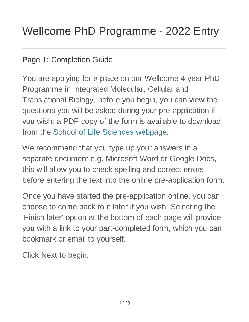## Page 1: Completion Guide

You are applying for a place on our Wellcome 4-year PhD Programme in Integrated Molecular, Cellular and Translational Biology, before you begin, you can view the questions you will be asked during your pre-application if you wish: a PDF copy of the form is available to download from the **School of Life Sciences webpage**.

We recommend that you type up your answers in a separate document e.g. Microsoft Word or Google Docs, this will allow you to check spelling and correct errors before entering the text into the online pre-application form.

Once you have started the pre-application online, you can choose to come back to it later if you wish. Selecting the 'Finish later' option at the bottom of each page will provide you with a link to your part-completed form, which you can bookmark or email to yourself.

Click Next to begin.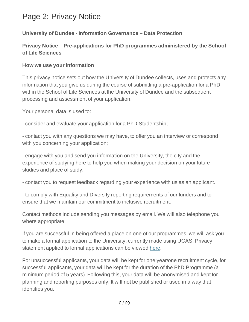## Page 2: Privacy Notice

#### **University of Dundee - Information Governance - Data Protection**

#### **Privacy Notice – Pre-applications for PhD programmes administered by the School of Life Sciences**

#### **How we use your information**

This privacy notice sets out how the University of Dundee collects, uses and protects any information that you give us during the course of submitting a pre-application for a PhD within the School of Life Sciences at the University of Dundee and the subsequent processing and assessment of your application.

Your personal data is used to:

- consider and evaluate your application for a PhD Studentship;

- contact you with any questions we may have, to offer you an interview or correspond with you concerning your application;

-engage with you and send you information on the University, the city and the experience of studying here to help you when making your decision on your future studies and place of study;

- contact you to request feedback regarding your experience with us as an applicant.

- to comply with Equality and Diversity reporting requirements of our funders and to ensure that we maintain our commitment to inclusive recruitment.

Contact methods include sending you messages by email. We will also telephone you where appropriate.

If you are successful in being offered a place on one of our programmes, we will ask you to make a formal application to the University, currently made using UCAS. Privacy statement applied to formal applications can be viewed here.

For unsuccessful applicants, your data will be kept for one year/one recruitment cycle, for successful applicants, your data will be kept for the duration of the PhD Programme (a minimum period of 5 years). Following this, your data will be anonymised and kept for planning and reporting purposes only. It will not be published or used in a way that identifies you.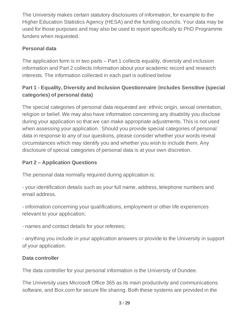The University makes certain statutory disclosures of information, for example to the Higher Education Statistics Agency (HESA) and the funding councils. Your data may be used for those purposes and may also be used to report specifically to PhD Programme funders when requested.

### **Personal data**

The application form is in two parts – Part 1 collects equality, diversity and inclusion information and Part 2 collects information about your academic record and research interests. The information collected in each part is outlined below

### **Part 1 - Equality, Diversity and Inclusion Questionnaire** (**includes Sensitive (special categories) of personal data)**

The special categories of personal data requested are: ethnic origin, sexual orientation, religion or belief. We may also have information concerning any disability you disclose during your application so that we can make appropriate adjustments. This is not used when assessing your application. Should you provide special categories of personal data in response to any of our questions, please consider whether your words reveal circumstances which may identify you and whether you wish to include them. Any disclosure of special categories of personal data is at your own discretion.

### **Part 2 – Application Questions**

The personal data normally required during application is:

- your identification details such as your full name, address, telephone numbers and email address.

- information concerning your qualifications, employment or other life experiences relevant to your application;

- names and contact details for your referees;

- anything you include in your application answers or provide to the University in support of your application.

### **Data controller**

The data controller for your personal information is the University of Dundee.

The University uses Microsoft Office 365 as its main productivity and communications software, and Box.com for secure file sharing. Both these systems are provided in the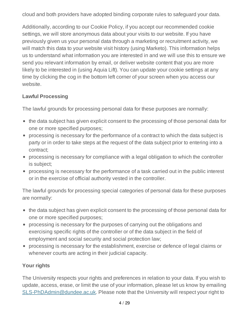cloud and both providers have adopted binding corporate rules to safeguard your data.

Additionally, according to our Cookie Policy, if you accept our recommended cookie settings, we will store anonymous data about your visits to our website. If you have previously given us your personal data through a marketing or recruitment activity, we will match this data to your website visit history (using Marketo). This information helps us to understand what information you are interested in and we will use this to ensure we send you relevant information by email, or deliver website content that you are more likely to be interested in (using Aquia Lift). You can update your cookie settings at any time by clicking the cog in the bottom left corner of your screen when you access our website.

### **Lawful Processing**

The lawful grounds for processing personal data for these purposes are normally:

- the data subject has given explicit consent to the processing of those personal data for one or more specified purposes;
- processing is necessary for the performance of a contract to which the data subject is party or in order to take steps at the request of the data subject prior to entering into a contract;
- processing is necessary for compliance with a legal obligation to which the controller is subject;
- processing is necessary for the performance of a task carried out in the public interest or in the exercise of official authority vested in the controller.

The lawful grounds for processing special categories of personal data for these purposes are normally:

- the data subject has given explicit consent to the processing of those personal data for one or more specified purposes;
- processing is necessary for the purposes of carrying out the obligations and exercising specific rights of the controller or of the data subject in the field of employment and social security and social protection law;
- processing is necessary for the establishment, exercise or defence of legal claims or whenever courts are acting in their judicial capacity.

### **Your rights**

The University respects your rights and preferences in relation to your data. If you wish to update, access, erase, or limit the use of your information, please let us know by emailing SLS-PhDAdmin@dundee.ac.uk. Please note that the University will respect your right to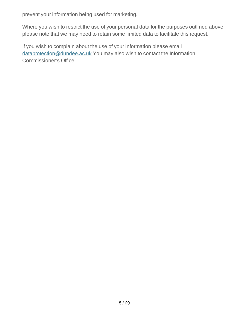prevent your information being used for marketing.

Where you wish to restrict the use of your personal data for the purposes outlined above, please note that we may need to retain some limited data to facilitate this request.

If you wish to complain about the use of your information please email dataprotection@dundee.ac.uk You may also wish to contact the Information Commissioner's Office.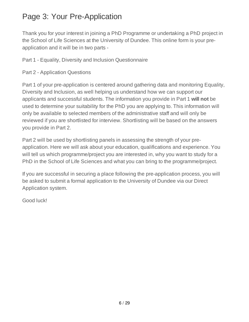# Page 3: Your Pre-Application

Thank you for your interest in joining a PhD Programme or undertaking a PhD project in the School of Life Sciences at the University of Dundee. This online form is your preapplication and it will be in two parts -

Part 1 - Equality, Diversity and Inclusion Questionnaire

Part 2 - Application Questions

Part 1 of your pre-application is centered around gathering data and monitoring Equality, Diversity and Inclusion, as well helping us understand how we can support our applicants and successful students. The information you provide in Part 1 will not be used to determine your suitability for the PhD you are applying to. This information will only be available to selected members of the administrative staff and will only be reviewed if you are shortlisted for interview. Shortlisting will be based on the answers you provide in Part 2.

Part 2 will be used by shortlisting panels in assessing the strength of your preapplication. Here we will ask about your education, qualifications and experience. You will tell us which programme/project you are interested in, why you want to study for a PhD in the School of Life Sciences and what you can bring to the programme/project.

If you are successful in securing a place following the pre-application process, you will be asked to submit a formal application to the University of Dundee via our Direct Application system.

Good luck!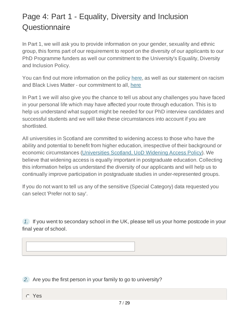# Page 4: Part 1 - Equality, Diversity and Inclusion **Questionnaire**

In Part 1, we will ask you to provide information on your gender, sexuality and ethnic group, this forms part of our requirement to report on the diversity of our applicants to our PhD Programme funders as well our commitment to the University's Equality, Diversity and Inclusion Policy.

You can find out more information on the policy here, as well as our statement on racism and Black Lives Matter - our commitment to all, here

In Part 1 we will also give you the chance to tell us about any challenges you have faced in your personal life which may have affected your route through education. This is to help us understand what support might be needed for our PhD interview candidates and successful students and we will take these circumstances into account if you are shortlisted.

All universities in Scotland are committed to widening access to those who have the ability and potential to benefit from higher education, irrespective of their background or economic circumstances (Universities Scotland, UoD Widening Access Policy). We believe that widening access is equally important in postgraduate education. Collecting this information helps us understand the diversity of our applicants and will help us to continually improve participation in postgraduate studies in under-represented groups.

If you do not want to tell us any of the sensitive (Special Category) data requested you can select 'Prefer not to say'.

1. If you went to secondary school in the UK, please tell us your home postcode in your final year of school.

2. Are you the first person in your family to go to university?

Yes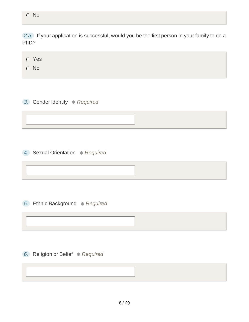#### No

*2.a.* If your application is successful, would you be the first person in your family to do a PhD?

Yes

C No

**3.** Gender Identity  $*$  Required

**4.** Sexual Orientation **\*** Required

**5.** Ethnic Background \* Required

**6.** Religion or Belief  $*$  Required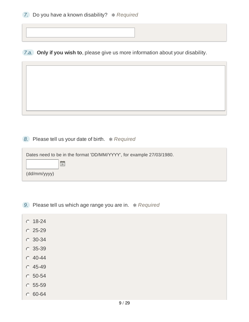**7.a.** Only if you wish to, please give us more information about your disability.

8. Please tell us your date of birth. *\* Required* 

 $\frac{31}{31}$ 

Dates need to be in the format 'DD/MM/YYYY', for example 27/03/1980.

(dd/mm/yyyy)

- **9.** Please tell us which age range you are in. \* Required
	- 18-24
	- $C$  25-29
	- 30-34
	- C 35-39
	- $O$  40-44
	- C 45-49
	- C 50-54
	- **655-59**
	- $C$  60-64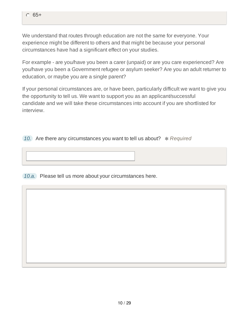We understand that routes through education are not the same for everyone. Your experience might be different to others and that might be because your personal circumstances have had a significant effect on your studies.

For example - are you/have you been a carer (unpaid) or are you care experienced? Are you/have you been a Government refugee or asylum seeker? Are you an adult returner to education, or maybe you are a single parent?

If your personal circumstances are, or have been, particularly difficult we want to give you the opportunity to tell us. We want to support you as an applicant/successful candidate and we will take these circumstances into account if you are shortlisted for interview.

#### **10.** Are there any circumstances you want to tell us about? \* Required

*10.a.* Please tell us more about your circumstances here.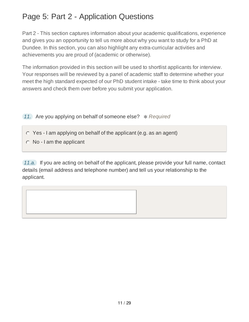# Page 5: Part 2 - Application Questions

Part 2 - This section captures information about your academic qualifications, experience and gives you an opportunity to tell us more about why you want to study for a PhD at Dundee. In this section, you can also highlight any extra-curricular activities and achievements you are proud of (academic or otherwise).

The information provided in this section will be used to shortlist applicants for interview. Your responses will be reviewed by a panel of academic staff to determine whether your meet the high standard expected of our PhD student intake - take time to think about your answers and check them over before you submit your application.

- **11.** Are you applying on behalf of someone else? \* Required
	- $\circ$  Yes I am applying on behalf of the applicant (e.g. as an agent)
	- $\circ$  No I am the applicant

*11.a.* If you are acting on behalf of the applicant, please provide your full name, contact details (email address and telephone number) and tell us your relationship to the applicant.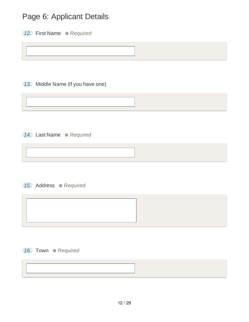## Page 6: Applicant Details

**12.** First Name  $*$  Required

13. Middle Name (if you have one)

**14.** Last Name \* Required

### *15.* Address *Required*



#### 16. Town **\*** Required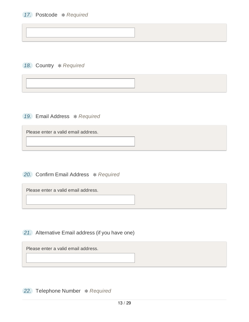18. Country *\* Required* 

19. Email Address \* Required

Please enter a valid email address.

**20.** Confirm Email Address  $*$  Required

Please enter a valid email address.

*21.* Alternative Email address (if you have one)

Please enter a valid email address.

**22.** Telephone Number \* Required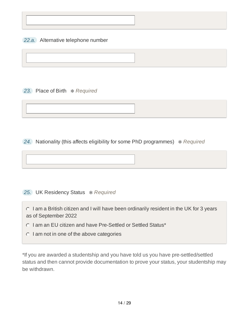*22.a.* Alternative telephone number

**23.** Place of Birth  $*$  Required

**24.** Nationality (this affects eligibility for some PhD programmes) \* Required

**25.** UK Residency Status  $*$  Required

 $\degree$  I am a British citizen and I will have been ordinarily resident in the UK for 3 years as of September 2022

 $\circ$  I am an EU citizen and have Pre-Settled or Settled Status\*

 $\circ$  I am not in one of the above categories

\*If you are awarded a studentship and you have told us you have pre-settled/settled status and then cannot provide documentation to prove your status, your studentship may be withdrawn.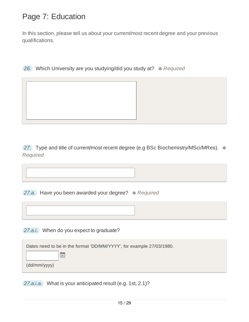## Page 7: Education

In this section, please tell us about your current/most recent degree and your previous qualifications.

**26.** Which University are you studying/did you study at? \* Required



**27.a.** Have you been awarded your degree? \* Required

*27.a.i.* When do you expect to graduate?

| Dates need to be in the format 'DD/MM/YYYY', for example 27/03/1980. |  |  |  |
|----------------------------------------------------------------------|--|--|--|
| $\frac{1}{31}$                                                       |  |  |  |
| (dd/mm/yyyy)                                                         |  |  |  |

*27.a.i.a.* What is your anticipated result (e.g. 1st, 2.1)?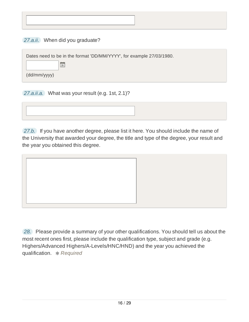### **27.a.ii.** When did you graduate?

| Dates need to be in the format 'DD/MM/YYYY', for example 27/03/1980. |                |  |  |
|----------------------------------------------------------------------|----------------|--|--|
|                                                                      | $\frac{1}{31}$ |  |  |
| (dd/mm/yyyy)                                                         |                |  |  |

27.a.ii.a. What was your result (e.g. 1st, 2.1)?



the University that awarded your degree, the title and type of the degree, your result and the year you obtained this degree.



28. Please provide a summary of your other qualifications. You should tell us about the most recent ones first, please include the qualification type, subject and grade (e.g. Highers/Advanced Highers/A-Levels/HNC/HND) and the year you achieved the qualification. *Required*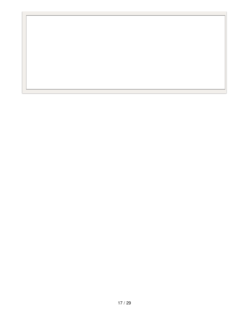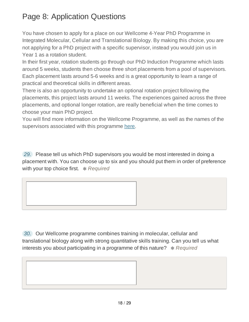# Page 8: Application Questions

You have chosen to apply for a place on our Wellcome 4-Year PhD Programme in Integrated Molecular, Cellular and Translational Biology. By making this choice, you are not applying for a PhD project with a specific supervisor, instead you would join us in Year 1 as a rotation student.

In their first year, rotation students go through our PhD Induction Programme which lasts around 5 weeks, students then choose three short placements from a pool of supervisors. Each placement lasts around 5-6 weeks and is a great opportunity to learn a range of practical and theoretical skills in different areas.

There is also an opportunity to undertake an optional rotation project following the placements, this project lasts around 11 weeks. The experiences gained across the three placements, and optional longer rotation, are really beneficial when the time comes to choose your main PhD project.

You will find more information on the Wellcome Programme, as well as the names of the supervisors associated with this programme here.

29. Please tell us which PhD supervisors you would be most interested in doing a placement with. You can choose up to six and you should put them in order of preference with your top choice first. **\*** Required

30. Our Wellcome programme combines training in molecular, cellular and translational biology along with strong quantitative skills training. Can you tell us what **interests** you about participating in a programme of this nature?  $\cdot \cdot$  Required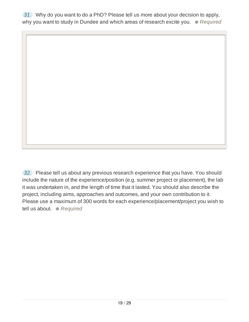31. Why do you want to do a PhD? Please tell us more about your decision to apply, why you want to study in Dundee and which areas of research excite you. \* Required

32. Please tell us about any previous research experience that you have. You should include the nature of the experience/position (e.g. summer project or placement), the lab it was undertaken in, and the length of time that it lasted. You should also describe the project, including aims, approaches and outcomes, and your own contribution to it. Please use a maximum of 300 words for each experience/placement/project you wish to tell us about. **\*** Required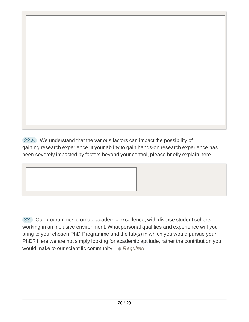*32.a.* We understand that the various factors can impact the possibility of gaining research experience. If your ability to gain hands-on research experience has been severely impacted by factors beyond your control, please briefly explain here.

33. Our programmes promote academic excellence, with diverse student cohorts working in an inclusive environment. What personal qualities and experience will you bring to your chosen PhD Programme and the lab(s) in which you would pursue your PhD? Here we are not simply looking for academic aptitude, rather the contribution you would make to our scientific community. **\*** Required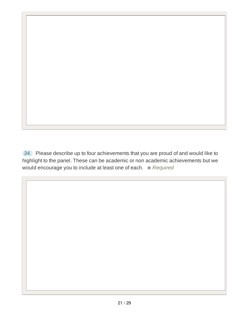*34.* Please describe up to four achievements that you are proud of and would like to highlight to the panel. These can be academic or non academic achievements but we would encourage you to include at least one of each.  $*$  Required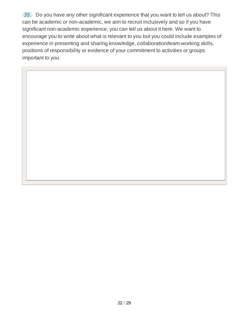*35.* Do you have any other significant experience that you want to tell us about? This can be academic or non-academic, we aim to recruit inclusively and so if you have significant non-academic experience, you can tell us about it here. We want to encourage you to write about what is relevant to you but you could include examples of experience in presenting and sharing knowledge, collaboration/team-working skills, positions of responsibility or evidence of your commitment to activities or groups important to you.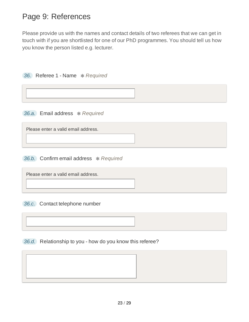## Page 9: References

Please provide us with the names and contact details of two referees that we can get in touch with if you are shortlisted for one of our PhD programmes. You should tell us how you know the person listed e.g. lecturer.

| 36. Referee 1 - Name * Required     |  |
|-------------------------------------|--|
|                                     |  |
| 36.a. Email address * Required      |  |
| Please enter a valid email address. |  |

**36.b.** Confirm email address  $*$  Required

Please enter a valid email address.

**36.c.** Contact telephone number

36.d. Relationship to you - how do you know this referee?

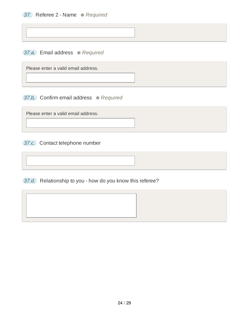*37.a.* Email address *Required*

Please enter a valid email address.

*37.b.* Confirm email address *Required*

Please enter a valid email address.

*37.c.* Contact telephone number

*37.d.* Relationship to you - how do you know this referee?

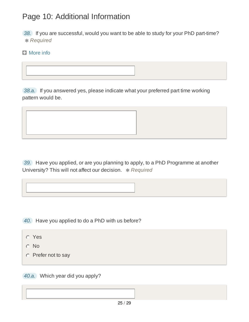## Page 10: Additional Information

38. If you are successful, would you want to be able to study for your PhD part-time? *Required*

#### **El** More info



38.a. If you answered yes, please indicate what your preferred part time working pattern would be.



40. Have you applied to do a PhD with us before?

Yes

No

 $\circ$  Prefer not to say

*40.a.* Which year did you apply?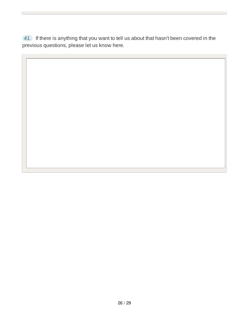*41.* If there is anything that you want to tell us about that hasn't been covered in the previous questions, please let us know here.